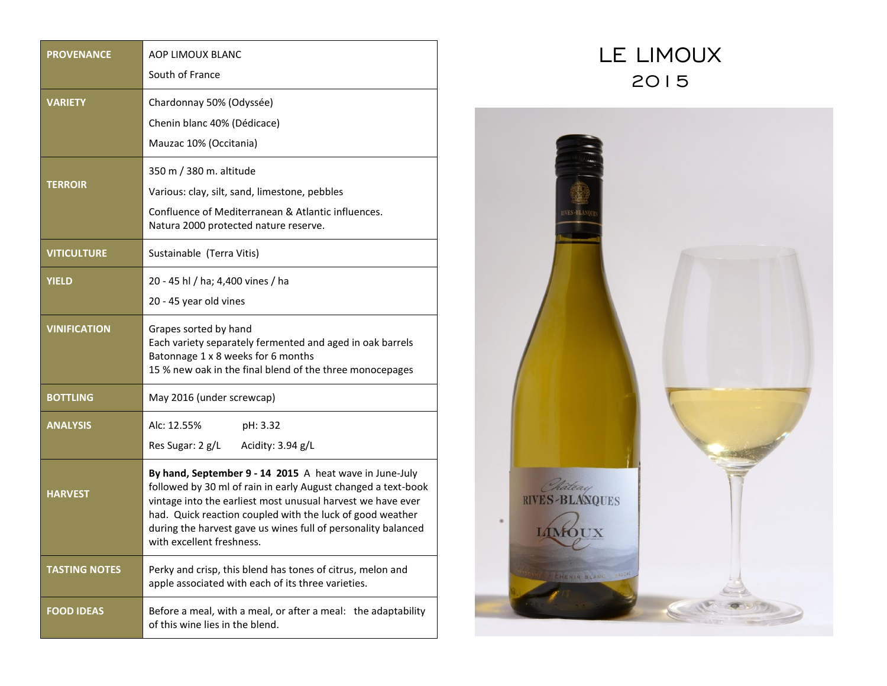| <b>PROVENANCE</b>    | AOP LIMOUX BLANC                                                                                                                                                                                                                                                                                                                                   |
|----------------------|----------------------------------------------------------------------------------------------------------------------------------------------------------------------------------------------------------------------------------------------------------------------------------------------------------------------------------------------------|
|                      | South of France                                                                                                                                                                                                                                                                                                                                    |
| <b>VARIETY</b>       | Chardonnay 50% (Odyssée)                                                                                                                                                                                                                                                                                                                           |
|                      | Chenin blanc 40% (Dédicace)                                                                                                                                                                                                                                                                                                                        |
|                      | Mauzac 10% (Occitania)                                                                                                                                                                                                                                                                                                                             |
| <b>TERROIR</b>       | 350 m / 380 m. altitude                                                                                                                                                                                                                                                                                                                            |
|                      | Various: clay, silt, sand, limestone, pebbles                                                                                                                                                                                                                                                                                                      |
|                      | Confluence of Mediterranean & Atlantic influences.<br>Natura 2000 protected nature reserve.                                                                                                                                                                                                                                                        |
| <b>VITICULTURE</b>   | Sustainable (Terra Vitis)                                                                                                                                                                                                                                                                                                                          |
| <b>YIELD</b>         | 20 - 45 hl / ha; 4,400 vines / ha                                                                                                                                                                                                                                                                                                                  |
|                      | 20 - 45 year old vines                                                                                                                                                                                                                                                                                                                             |
| <b>VINIFICATION</b>  | Grapes sorted by hand<br>Each variety separately fermented and aged in oak barrels<br>Batonnage 1 x 8 weeks for 6 months<br>15 % new oak in the final blend of the three monocepages                                                                                                                                                               |
| <b>BOTTLING</b>      | May 2016 (under screwcap)                                                                                                                                                                                                                                                                                                                          |
| <b>ANALYSIS</b>      | Alc: 12.55%<br>pH: 3.32                                                                                                                                                                                                                                                                                                                            |
|                      | Res Sugar: 2 g/L<br>Acidity: 3.94 g/L                                                                                                                                                                                                                                                                                                              |
| <b>HARVEST</b>       | By hand, September 9 - 14 2015 A heat wave in June-July<br>followed by 30 ml of rain in early August changed a text-book<br>vintage into the earliest most unusual harvest we have ever<br>had. Quick reaction coupled with the luck of good weather<br>during the harvest gave us wines full of personality balanced<br>with excellent freshness. |
| <b>TASTING NOTES</b> | Perky and crisp, this blend has tones of citrus, melon and<br>apple associated with each of its three varieties.                                                                                                                                                                                                                                   |
| <b>FOOD IDEAS</b>    | Before a meal, with a meal, or after a meal: the adaptability<br>of this wine lies in the blend.                                                                                                                                                                                                                                                   |

## LE LIMOUX 2015